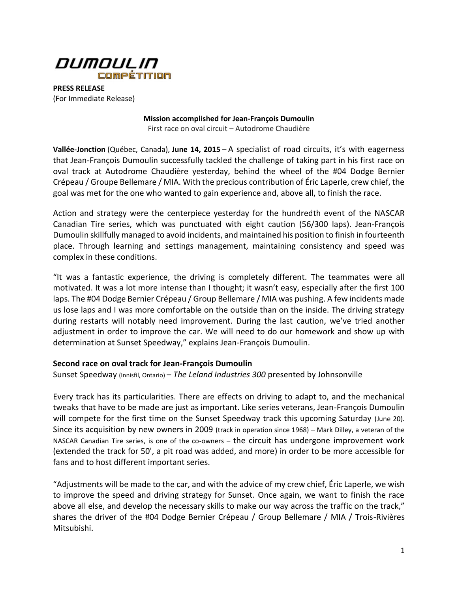

**PRESS RELEASE** (For Immediate Release)

> **Mission accomplished for Jean-François Dumoulin** First race on oval circuit – Autodrome Chaudière

**Vallée-Jonction** (Québec, Canada), **June 14, 2015** – A specialist of road circuits, it's with eagerness that Jean-François Dumoulin successfully tackled the challenge of taking part in his first race on oval track at Autodrome Chaudière yesterday, behind the wheel of the #04 Dodge Bernier Crépeau / Groupe Bellemare / MIA. With the precious contribution of Éric Laperle, crew chief, the goal was met for the one who wanted to gain experience and, above all, to finish the race.

Action and strategy were the centerpiece yesterday for the hundredth event of the NASCAR Canadian Tire series, which was punctuated with eight caution (56/300 laps). Jean-François Dumoulin skillfully managed to avoid incidents, and maintained his position to finish in fourteenth place. Through learning and settings management, maintaining consistency and speed was complex in these conditions.

"It was a fantastic experience, the driving is completely different. The teammates were all motivated. It was a lot more intense than I thought; it wasn't easy, especially after the first 100 laps. The #04 Dodge Bernier Crépeau / Group Bellemare / MIA was pushing. A few incidents made us lose laps and I was more comfortable on the outside than on the inside. The driving strategy during restarts will notably need improvement. During the last caution, we've tried another adjustment in order to improve the car. We will need to do our homework and show up with determination at Sunset Speedway," explains Jean-François Dumoulin.

## **Second race on oval track for Jean-François Dumoulin**

Sunset Speedway (Innisfil, Ontario) – *The Leland Industries 300* presented by Johnsonville

Every track has its particularities. There are effects on driving to adapt to, and the mechanical tweaks that have to be made are just as important. Like series veterans, Jean-François Dumoulin will compete for the first time on the Sunset Speedway track this upcoming Saturday (June 20). Since its acquisition by new owners in 2009 (track in operation since 1968) – Mark Dilley, a veteran of the NASCAR Canadian Tire series, is one of the co-owners – the circuit has undergone improvement work (extended the track for 50', a pit road was added, and more) in order to be more accessible for fans and to host different important series.

"Adjustments will be made to the car, and with the advice of my crew chief, Éric Laperle, we wish to improve the speed and driving strategy for Sunset. Once again, we want to finish the race above all else, and develop the necessary skills to make our way across the traffic on the track," shares the driver of the #04 Dodge Bernier Crépeau / Group Bellemare / MIA / Trois-Rivières Mitsubishi.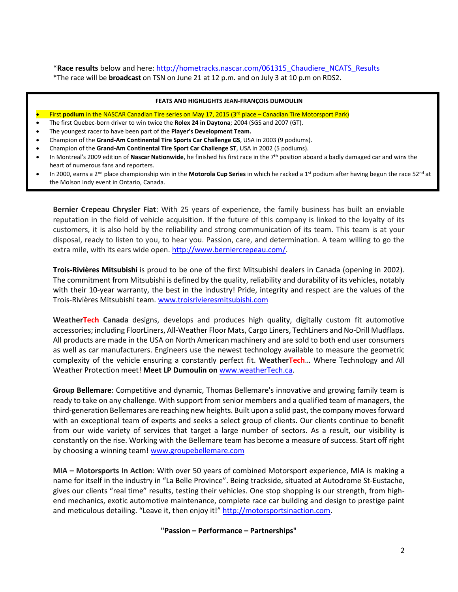\***Race results** below and here: [http://hometracks.nascar.com/061315\\_Chaudiere\\_NCATS\\_Results](http://hometracks.nascar.com/061315_Chaudiere_NCATS_Results) \*The race will be **broadcast** on TSN on June 21 at 12 p.m. and on July 3 at 10 p.m on RDS2.

#### **FEATS AND HIGHLIGHTS JEAN-FRANÇOIS DUMOULIN**

First **podium** in the NASCAR Canadian Tire series on May 17, 2015 (3<sup>rd</sup> place – Canadian Tire Motorsport Park)

- The first Quebec-born driver to win twice the **Rolex 24 in Daytona**; 2004 (SGS and 2007 (GT).
- The youngest racer to have been part of the **Player's Development Team.**
- Champion of the **Grand-Am Continental Tire Sports Car Challenge GS**, USA in 2003 (9 podiums).
- Champion of the **Grand-Am Continental Tire Sport Car Challenge ST**, USA in 2002 (5 podiums).
- In Montreal's 2009 edition of **Nascar Nationwide**, he finished his first race in the 7th position aboard a badly damaged car and wins the heart of numerous fans and reporters.
- In 2000, earns a 2nd place championship win in the **Motorola Cup Series** in which he racked a 1st podium after having begun the race 52nd at the Molson Indy event in Ontario, Canada.

**Bernier Crepeau Chrysler Fiat**: With 25 years of experience, the family business has built an enviable reputation in the field of vehicle acquisition. If the future of this company is linked to the loyalty of its customers, it is also held by the reliability and strong communication of its team. This team is at your disposal, ready to listen to you, to hear you. Passion, care, and determination. A team willing to go the extra mile, with its ears wide open. [http://www.berniercrepeau.com/.](http://www.berniercrepeau.com/)

**Trois-Rivières Mitsubishi** is proud to be one of the first Mitsubishi dealers in Canada (opening in 2002). The commitment from Mitsubishi is defined by the quality, reliability and durability of its vehicles, notably with their 10-year warranty, the best in the industry! Pride, integrity and respect are the values of the Trois-Rivières Mitsubishi team. [www.troisrivieresmitsubishi.com](http://www.troisrivieresmitsubishi.com/)

**WeatherTech Canada** designs, develops and produces high quality, digitally custom fit automotive accessories; including FloorLiners, All-Weather Floor Mats, Cargo Liners, TechLiners and No-Drill Mudflaps. All products are made in the USA on North American machinery and are sold to both end user consumers as well as car manufacturers. Engineers use the newest technology available to measure the geometric complexity of the vehicle ensuring a constantly perfect fit. **WeatherTech**… Where Technology and All Weather Protection meet! **Meet LP Dumoulin on** [www.weatherTech.ca.](http://www.weathertech.ca/)

**Group Bellemare**: Competitive and dynamic, Thomas Bellemare's innovative and growing family team is ready to take on any challenge. With support from senior members and a qualified team of managers, the third-generation Bellemares are reaching new heights. Built upon a solid past, the company moves forward with an exceptional team of experts and seeks a select group of clients. Our clients continue to benefit from our wide variety of services that target a large number of sectors. As a result, our visibility is constantly on the rise. Working with the Bellemare team has become a measure of success. Start off right by choosing a winning team[! www.groupebellemare.com](http://www.groupebellemare.com/)

**MIA – Motorsports In Action**: With over 50 years of combined Motorsport experience, MIA is making a name for itself in the industry in "La Belle Province". Being trackside, situated at Autodrome St-Eustache, gives our clients "real time" results, testing their vehicles. One stop shopping is our strength, from highend mechanics, exotic automotive maintenance, complete race car building and design to prestige paint and meticulous detailing. "Leave it, then enjoy it!" [http://motorsportsinaction.com.](http://motorsportsinaction.com/)

### **"Passion – Performance – Partnerships"**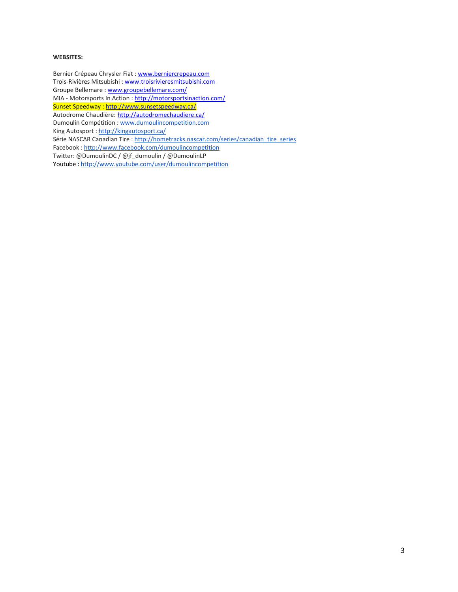#### **WEBSITES:**

Bernier Crépeau Chrysler Fiat [: www.berniercrepeau.com](http://www.berniercrepeau.com/) Trois-Rivières Mitsubishi : [www.troisrivieresmitsubishi.com](http://www.troisrivieresmitsubishi.com/) Groupe Bellemare : [www.groupebellemare.com/](http://www.groupebellemare.com/) MIA - Motorsports In Action :<http://motorsportsinaction.com/> Sunset Speedway [: http://www.sunsetspeedway.ca/](http://www.sunsetspeedway.ca/) Autodrome Chaudière: <http://autodromechaudiere.ca/> Dumoulin Compétition : [www.dumoulincompetition.com](http://www.dumoulincompetition.com/) King Autosport : <http://kingautosport.ca/> Série NASCAR Canadian Tire : [http://hometracks.nascar.com/series/canadian\\_tire\\_series](http://hometracks.nascar.com/series/canadian_tire_series) Facebook : <http://www.facebook.com/dumoulincompetition> Twitter: @DumoulinDC / @jf\_dumoulin / @DumoulinLP Youtube : <http://www.youtube.com/user/dumoulincompetition>